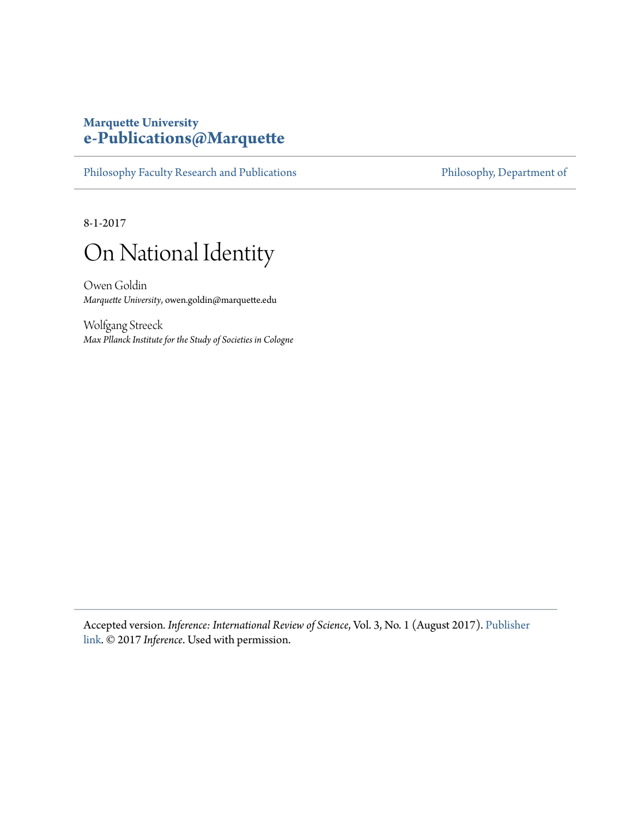### **Marquette University [e-Publications@Marquette](https://epublications.marquette.edu)**

[Philosophy Faculty Research and Publications](https://epublications.marquette.edu/phil_fac) [Philosophy, Department of](https://epublications.marquette.edu/philosophy)

8-1-2017



Owen Goldin *Marquette University*, owen.goldin@marquette.edu

Wolfgang Streeck *Max Pllanck Institute for the Study of Societies in Cologne*

Accepted version*. Inference: International Review of Science*, Vol. 3, No. 1 (August 2017). [Publisher](https://inference-review.com/letter/on-national-identity) [link](https://inference-review.com/letter/on-national-identity). © 2017 *Inference*. Used with permission.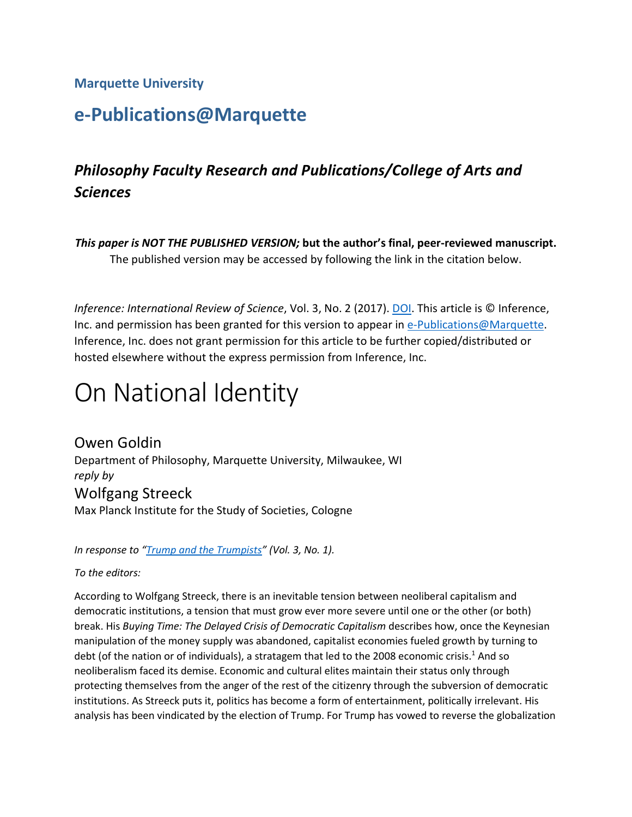#### **Marquette University**

# **e-Publications@Marquette**

## *Philosophy Faculty Research and Publications/College of Arts and Sciences*

*This paper is NOT THE PUBLISHED VERSION;* **but the author's final, peer-reviewed manuscript.**  The published version may be accessed by following the link in the citation below.

*Inference: International Review of Science, Vol. 3, No. 2 (2017). [DOI.](https://inference-review.com/letter/on-national-identity) This article is © Inference,*  Inference, Inc. does not grant permission for this article to be further copied/distributed or Inc. and permission has been granted for this version to appear in [e-Publications@Marquette.](http://epublications.marquette.edu/) hosted elsewhere without the express permission from Inference, Inc.

# On National Identity

 *reply by*  Max Planck Institute for the Study of Societies, Cologne Owen Goldin Department of Philosophy, Marquette University, Milwaukee, WI Wolfgang Streeck

*In response to ["Trump and the Trumpists"](https://inference-review.com/article/trump-and-the-trumpists) (Vol. 3, No. 1).* 

*To the editors:* 

 manipulation of the money supply was abandoned, capitalist economies fueled growth by turning to debt (of the nation or of individuals), a stratagem that led to the 2008 economic crisis.<sup>1</sup> And so neoliberalism faced its demise. Economic and cultural elites maintain their status only through protecting themselves from the anger of the rest of the citizenry through the subversion of democratic According to Wolfgang Streeck, there is an inevitable tension between neoliberal capitalism and democratic institutions, a tension that must grow ever more severe until one or the other (or both) break. His *Buying Time: The Delayed Crisis of Democratic Capitalism* describes how, once the Keynesian institutions. As Streeck puts it, politics has become a form of entertainment, politically irrelevant. His analysis has been vindicated by the election of Trump. For Trump has vowed to reverse the globalization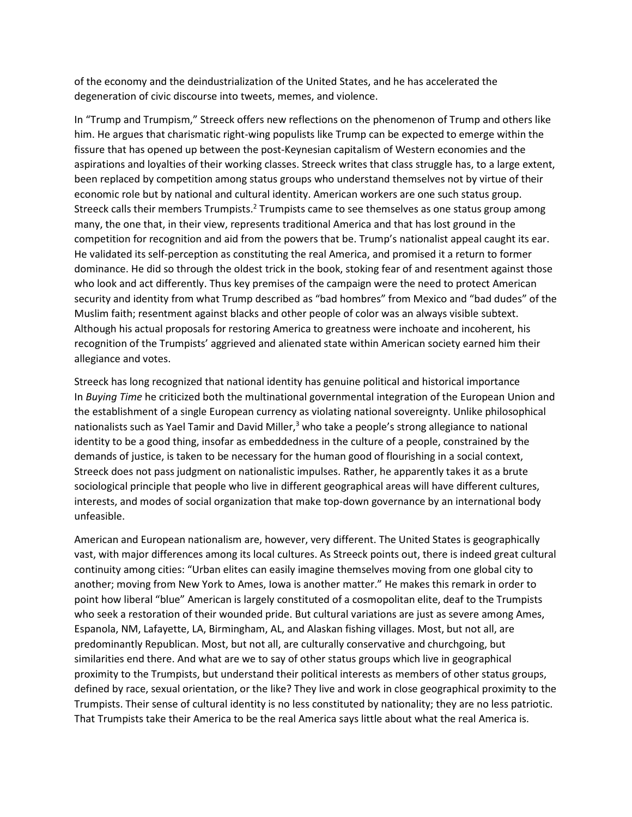of the economy and the deindustrialization of the United States, and he has accelerated the degeneration of civic discourse into tweets, memes, and violence.

 fissure that has opened up between the post-Keynesian capitalism of Western economies and the been replaced by competition among status groups who understand themselves not by virtue of their competition for recognition and aid from the powers that be. Trump's nationalist appeal caught its ear. dominance. He did so through the oldest trick in the book, stoking fear of and resentment against those who look and act differently. Thus key premises of the campaign were the need to protect American security and identity from what Trump described as "bad hombres" from Mexico and "bad dudes" of the recognition of the Trumpists' aggrieved and alienated state within American society earned him their In "Trump and Trumpism," Streeck offers new reflections on the phenomenon of Trump and others like him. He argues that charismatic right-wing populists like Trump can be expected to emerge within the aspirations and loyalties of their working classes. Streeck writes that class struggle has, to a large extent, economic role but by national and cultural identity. American workers are one such status group. Streeck calls their members Trumpists.<sup>2</sup> Trumpists came to see themselves as one status group among many, the one that, in their view, represents traditional America and that has lost ground in the He validated its self-perception as constituting the real America, and promised it a return to former Muslim faith; resentment against blacks and other people of color was an always visible subtext. Although his actual proposals for restoring America to greatness were inchoate and incoherent, his allegiance and votes.

 In *Buying Time* he criticized both the multinational governmental integration of the European Union and nationalists such as Yael Tamir and David Miller,<sup>3</sup> who take a people's strong allegiance to national Streeck has long recognized that national identity has genuine political and historical importance the establishment of a single European currency as violating national sovereignty. Unlike philosophical identity to be a good thing, insofar as embeddedness in the culture of a people, constrained by the demands of justice, is taken to be necessary for the human good of flourishing in a social context, Streeck does not pass judgment on nationalistic impulses. Rather, he apparently takes it as a brute sociological principle that people who live in different geographical areas will have different cultures, interests, and modes of social organization that make top-down governance by an international body unfeasible.

 vast, with major differences among its local cultures. As Streeck points out, there is indeed great cultural another; moving from New York to Ames, Iowa is another matter." He makes this remark in order to point how liberal "blue" American is largely constituted of a cosmopolitan elite, deaf to the Trumpists similarities end there. And what are we to say of other status groups which live in geographical proximity to the Trumpists, but understand their political interests as members of other status groups, Trumpists. Their sense of cultural identity is no less constituted by nationality; they are no less patriotic. American and European nationalism are, however, very different. The United States is geographically continuity among cities: "Urban elites can easily imagine themselves moving from one global city to who seek a restoration of their wounded pride. But cultural variations are just as severe among Ames, Espanola, NM, Lafayette, LA, Birmingham, AL, and Alaskan fishing villages. Most, but not all, are predominantly Republican. Most, but not all, are culturally conservative and churchgoing, but defined by race, sexual orientation, or the like? They live and work in close geographical proximity to the That Trumpists take their America to be the real America says little about what the real America is.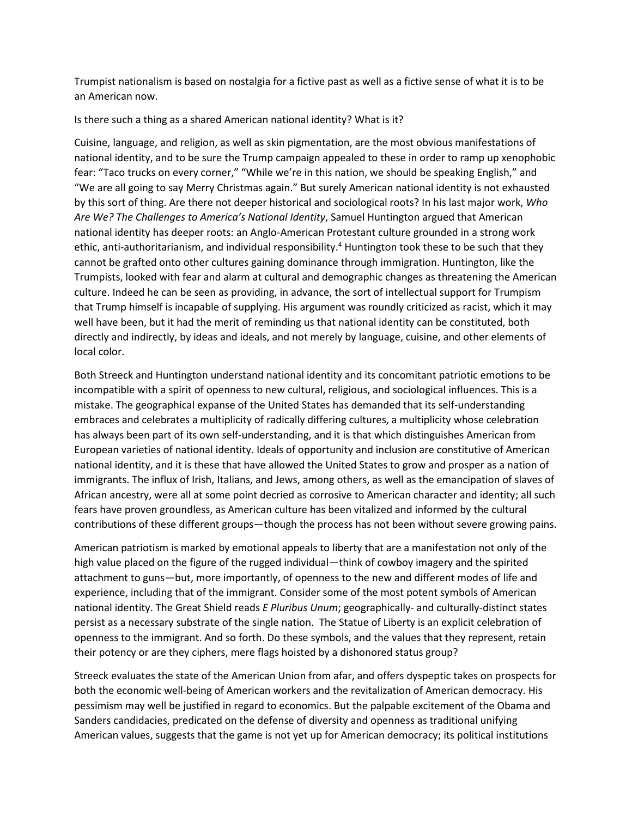Trumpist nationalism is based on nostalgia for a fictive past as well as a fictive sense of what it is to be an American now.

Is there such a thing as a shared American national identity? What is it?

 Cuisine, language, and religion, as well as skin pigmentation, are the most obvious manifestations of national identity, and to be sure the Trump campaign appealed to these in order to ramp up xenophobic fear: "Taco trucks on every corner," "While we're in this nation, we should be speaking English," and "We are all going to say Merry Christmas again." But surely American national identity is not exhausted that Trump himself is incapable of supplying. His argument was roundly criticized as racist, which it may directly and indirectly, by ideas and ideals, and not merely by language, cuisine, and other elements of by this sort of thing. Are there not deeper historical and sociological roots? In his last major work, *Who Are We? The Challenges to America's National Identity*, Samuel Huntington argued that American national identity has deeper roots: an Anglo-American Protestant culture grounded in a strong work ethic, anti-authoritarianism, and individual responsibility.<sup>4</sup> Huntington took these to be such that they cannot be grafted onto other cultures gaining dominance through immigration. Huntington, like the Trumpists, looked with fear and alarm at cultural and demographic changes as threatening the American culture. Indeed he can be seen as providing, in advance, the sort of intellectual support for Trumpism well have been, but it had the merit of reminding us that national identity can be constituted, both local color.

 embraces and celebrates a multiplicity of radically differing cultures, a multiplicity whose celebration has always been part of its own self-understanding, and it is that which distinguishes American from European varieties of national identity. Ideals of opportunity and inclusion are constitutive of American national identity, and it is these that have allowed the United States to grow and prosper as a nation of Both Streeck and Huntington understand national identity and its concomitant patriotic emotions to be incompatible with a spirit of openness to new cultural, religious, and sociological influences. This is a mistake. The geographical expanse of the United States has demanded that its self-understanding immigrants. The influx of Irish, Italians, and Jews, among others, as well as the emancipation of slaves of African ancestry, were all at some point decried as corrosive to American character and identity; all such fears have proven groundless, as American culture has been vitalized and informed by the cultural contributions of these different groups—though the process has not been without severe growing pains.

 American patriotism is marked by emotional appeals to liberty that are a manifestation not only of the attachment to guns—but, more importantly, of openness to the new and different modes of life and experience, including that of the immigrant. Consider some of the most potent symbols of American high value placed on the figure of the rugged individual—think of cowboy imagery and the spirited national identity. The Great Shield reads *E Pluribus Unum*; geographically- and culturally-distinct states persist as a necessary substrate of the single nation. The Statue of Liberty is an explicit celebration of openness to the immigrant. And so forth. Do these symbols, and the values that they represent, retain their potency or are they ciphers, mere flags hoisted by a dishonored status group?

Streeck evaluates the state of the American Union from afar, and offers dyspeptic takes on prospects for both the economic well-being of American workers and the revitalization of American democracy. His pessimism may well be justified in regard to economics. But the palpable excitement of the Obama and Sanders candidacies, predicated on the defense of diversity and openness as traditional unifying American values, suggests that the game is not yet up for American democracy; its political institutions